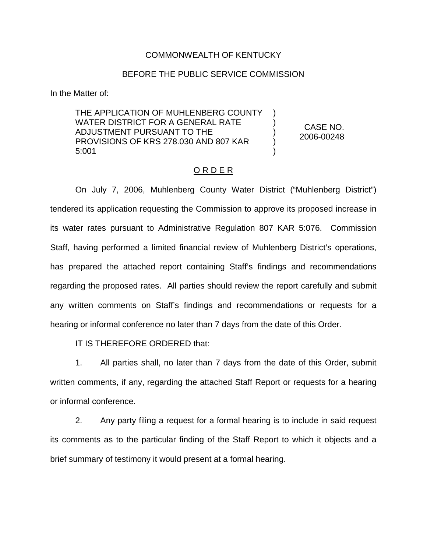## COMMONWEALTH OF KENTUCKY

### BEFORE THE PUBLIC SERVICE COMMISSION

In the Matter of:

THE APPLICATION OF MUHLENBERG COUNTY WATER DISTRICT FOR A GENERAL RATE ADJUSTMENT PURSUANT TO THE PROVISIONS OF KRS 278.030 AND 807 KAR 5:001

CASE NO. 2006-00248

) ) ) ) )

#### O R D E R

On July 7, 2006, Muhlenberg County Water District ("Muhlenberg District") tendered its application requesting the Commission to approve its proposed increase in its water rates pursuant to Administrative Regulation 807 KAR 5:076. Commission Staff, having performed a limited financial review of Muhlenberg District's operations, has prepared the attached report containing Staff's findings and recommendations regarding the proposed rates. All parties should review the report carefully and submit any written comments on Staff's findings and recommendations or requests for a hearing or informal conference no later than 7 days from the date of this Order.

IT IS THEREFORE ORDERED that:

1. All parties shall, no later than 7 days from the date of this Order, submit written comments, if any, regarding the attached Staff Report or requests for a hearing or informal conference.

2. Any party filing a request for a formal hearing is to include in said request its comments as to the particular finding of the Staff Report to which it objects and a brief summary of testimony it would present at a formal hearing.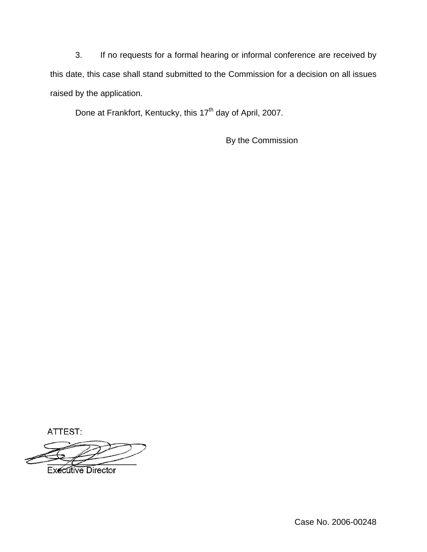3. If no requests for a formal hearing or informal conference are received by this date, this case shall stand submitted to the Commission for a decision on all issues raised by the application.

Done at Frankfort, Kentucky, this 17<sup>th</sup> day of April, 2007.

By the Commission

ATTEST:

**Executive Director** 

Case No. 2006-00248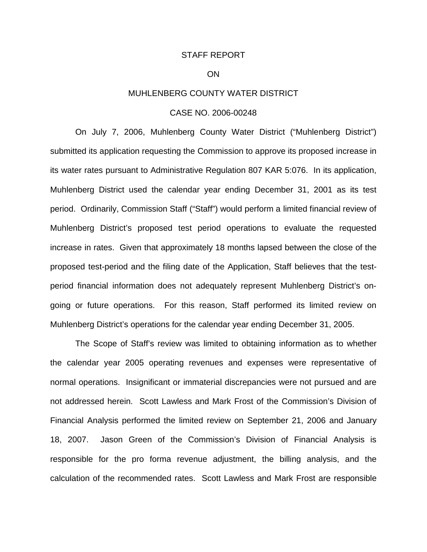#### STAFF REPORT

### **ON**

## MUHLENBERG COUNTY WATER DISTRICT

## CASE NO. 2006-00248

On July 7, 2006, Muhlenberg County Water District ("Muhlenberg District") submitted its application requesting the Commission to approve its proposed increase in its water rates pursuant to Administrative Regulation 807 KAR 5:076. In its application, Muhlenberg District used the calendar year ending December 31, 2001 as its test period. Ordinarily, Commission Staff ("Staff") would perform a limited financial review of Muhlenberg District's proposed test period operations to evaluate the requested increase in rates. Given that approximately 18 months lapsed between the close of the proposed test-period and the filing date of the Application, Staff believes that the testperiod financial information does not adequately represent Muhlenberg District's ongoing or future operations. For this reason, Staff performed its limited review on Muhlenberg District's operations for the calendar year ending December 31, 2005.

The Scope of Staff's review was limited to obtaining information as to whether the calendar year 2005 operating revenues and expenses were representative of normal operations. Insignificant or immaterial discrepancies were not pursued and are not addressed herein. Scott Lawless and Mark Frost of the Commission's Division of Financial Analysis performed the limited review on September 21, 2006 and January 18, 2007. Jason Green of the Commission's Division of Financial Analysis is responsible for the pro forma revenue adjustment, the billing analysis, and the calculation of the recommended rates. Scott Lawless and Mark Frost are responsible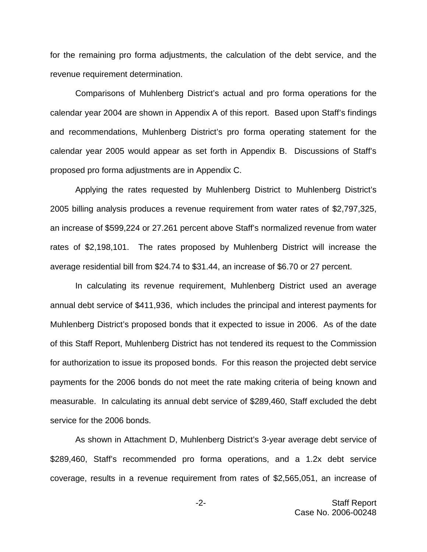for the remaining pro forma adjustments, the calculation of the debt service, and the revenue requirement determination.

Comparisons of Muhlenberg District's actual and pro forma operations for the calendar year 2004 are shown in Appendix A of this report. Based upon Staff's findings and recommendations, Muhlenberg District's pro forma operating statement for the calendar year 2005 would appear as set forth in Appendix B. Discussions of Staff's proposed pro forma adjustments are in Appendix C.

Applying the rates requested by Muhlenberg District to Muhlenberg District's 2005 billing analysis produces a revenue requirement from water rates of \$2,797,325, an increase of \$599,224 or 27.261 percent above Staff's normalized revenue from water rates of \$2,198,101. The rates proposed by Muhlenberg District will increase the average residential bill from \$24.74 to \$31.44, an increase of \$6.70 or 27 percent.

In calculating its revenue requirement, Muhlenberg District used an average annual debt service of \$411,936, which includes the principal and interest payments for Muhlenberg District's proposed bonds that it expected to issue in 2006. As of the date of this Staff Report, Muhlenberg District has not tendered its request to the Commission for authorization to issue its proposed bonds. For this reason the projected debt service payments for the 2006 bonds do not meet the rate making criteria of being known and measurable. In calculating its annual debt service of \$289,460, Staff excluded the debt service for the 2006 bonds.

As shown in Attachment D, Muhlenberg District's 3-year average debt service of \$289,460, Staff's recommended pro forma operations, and a 1.2x debt service coverage, results in a revenue requirement from rates of \$2,565,051, an increase of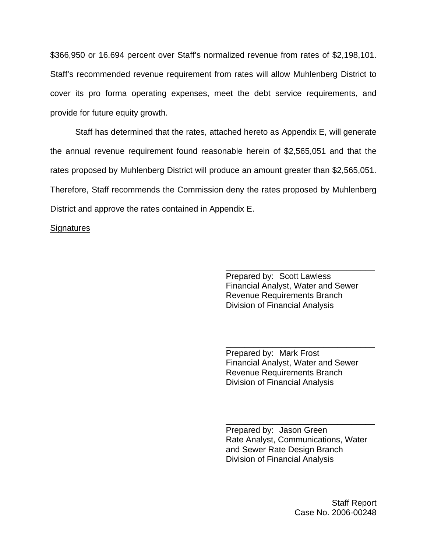\$366,950 or 16.694 percent over Staff's normalized revenue from rates of \$2,198,101. Staff's recommended revenue requirement from rates will allow Muhlenberg District to cover its pro forma operating expenses, meet the debt service requirements, and provide for future equity growth.

Staff has determined that the rates, attached hereto as Appendix E, will generate the annual revenue requirement found reasonable herein of \$2,565,051 and that the rates proposed by Muhlenberg District will produce an amount greater than \$2,565,051. Therefore, Staff recommends the Commission deny the rates proposed by Muhlenberg District and approve the rates contained in Appendix E.

### **Signatures**

Prepared by: Scott Lawless Financial Analyst, Water and Sewer Revenue Requirements Branch Division of Financial Analysis

\_\_\_\_\_\_\_\_\_\_\_\_\_\_\_\_\_\_\_\_\_\_\_\_\_\_\_\_\_\_\_\_

Prepared by: Mark Frost Financial Analyst, Water and Sewer Revenue Requirements Branch Division of Financial Analysis

\_\_\_\_\_\_\_\_\_\_\_\_\_\_\_\_\_\_\_\_\_\_\_\_\_\_\_\_\_\_\_\_

Prepared by: Jason Green Rate Analyst, Communications, Water and Sewer Rate Design Branch Division of Financial Analysis

\_\_\_\_\_\_\_\_\_\_\_\_\_\_\_\_\_\_\_\_\_\_\_\_\_\_\_\_\_\_\_\_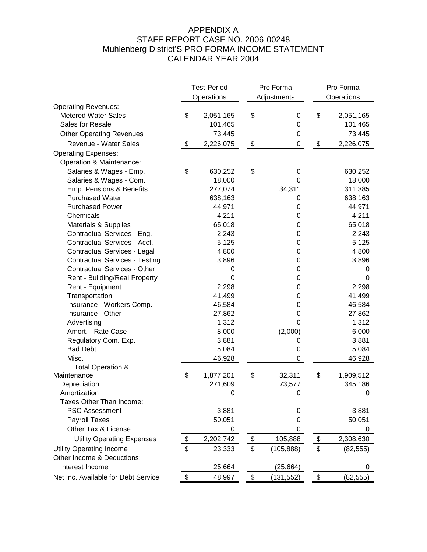# APPENDIX A STAFF REPORT CASE NO. 2006-00248 Muhlenberg District'S PRO FORMA INCOME STATEMENT CALENDAR YEAR 2004

|                                       | <b>Test-Period</b> |                  |                            | Pro Forma   | Pro Forma                                 |            |
|---------------------------------------|--------------------|------------------|----------------------------|-------------|-------------------------------------------|------------|
|                                       |                    | Operations       |                            | Adjustments |                                           | Operations |
| <b>Operating Revenues:</b>            |                    |                  |                            |             |                                           |            |
| <b>Metered Water Sales</b>            | \$                 | 2,051,165        | \$                         | 0           | \$                                        | 2,051,165  |
| Sales for Resale                      |                    | 101,465          |                            | 0           |                                           | 101,465    |
| <b>Other Operating Revenues</b>       |                    | 73,445           |                            | 0           |                                           | 73,445     |
| Revenue - Water Sales                 | $\boldsymbol{\$}$  | 2,226,075        | $\boldsymbol{\mathsf{\$}}$ | $\mathsf 0$ | $\, \, \raisebox{12pt}{$\scriptstyle \$}$ | 2,226,075  |
| <b>Operating Expenses:</b>            |                    |                  |                            |             |                                           |            |
| Operation & Maintenance:              |                    |                  |                            |             |                                           |            |
| Salaries & Wages - Emp.               | \$                 | 630,252          | \$                         | 0           |                                           | 630,252    |
| Salaries & Wages - Com.               |                    | 18,000           |                            | 0           |                                           | 18,000     |
| Emp. Pensions & Benefits              |                    | 277,074          |                            | 34,311      |                                           | 311,385    |
| <b>Purchased Water</b>                |                    | 638,163          |                            | 0           |                                           | 638,163    |
| <b>Purchased Power</b>                |                    | 44,971           |                            | 0           |                                           | 44,971     |
| Chemicals                             |                    | 4,211            |                            | 0           |                                           | 4,211      |
| Materials & Supplies                  |                    | 65,018           |                            | 0           |                                           | 65,018     |
| Contractual Services - Eng.           |                    | 2,243            |                            | 0           |                                           | 2,243      |
| Contractual Services - Acct.          |                    | 5,125            |                            | 0           |                                           | 5,125      |
| Contractual Services - Legal          |                    | 4,800            |                            | 0           |                                           | 4,800      |
| <b>Contractual Services - Testing</b> |                    | 3,896            |                            | 0           |                                           | 3,896      |
| <b>Contractual Services - Other</b>   |                    | 0                |                            | 0           |                                           | 0          |
| Rent - Building/Real Property         |                    | 0                |                            | 0           |                                           | 0          |
| Rent - Equipment                      |                    | 2,298            |                            | 0           |                                           | 2,298      |
| Transportation                        |                    | 41,499           |                            | 0           |                                           | 41,499     |
| Insurance - Workers Comp.             |                    | 46,584           |                            | 0           |                                           | 46,584     |
| Insurance - Other                     |                    | 27,862           |                            | 0           |                                           | 27,862     |
| Advertising                           |                    | 1,312            |                            | 0           |                                           | 1,312      |
| Amort. - Rate Case                    |                    | 8,000            |                            | (2,000)     |                                           | 6,000      |
| Regulatory Com. Exp.                  |                    | 3,881            |                            | 0           |                                           | 3,881      |
| <b>Bad Debt</b>                       |                    | 5,084            |                            | 0           |                                           | 5,084      |
| Misc.                                 |                    | 46,928           |                            | 0           |                                           | 46,928     |
| Total Operation &                     |                    |                  |                            |             |                                           |            |
| Maintenance                           | \$                 | 1,877,201        | \$                         | 32,311      | \$                                        | 1,909,512  |
| Depreciation                          |                    | 271,609          |                            | 73,577      |                                           | 345,186    |
| Amortization                          |                    | 0                |                            | 0           |                                           | 0          |
| Taxes Other Than Income:              |                    |                  |                            |             |                                           |            |
| <b>PSC Assessment</b>                 |                    | 3,881            |                            | 0           |                                           | 3,881      |
| Payroll Taxes                         |                    | 50,051           |                            | 0           |                                           | 50,051     |
| Other Tax & License                   |                    | $\boldsymbol{0}$ |                            | 0           |                                           | 0          |
| <b>Utility Operating Expenses</b>     | \$                 | 2,202,742        | $\frac{1}{2}$              | 105,888     | $\frac{1}{2}$                             | 2,308,630  |
| <b>Utility Operating Income</b>       | \$                 | 23,333           | \$                         | (105, 888)  | \$                                        | (82, 555)  |
| Other Income & Deductions:            |                    |                  |                            |             |                                           |            |
| Interest Income                       |                    | 25,664           |                            | (25, 664)   |                                           | 0          |
| Net Inc. Available for Debt Service   | \$                 | 48,997           | \$                         | (131, 552)  | \$                                        | (82, 555)  |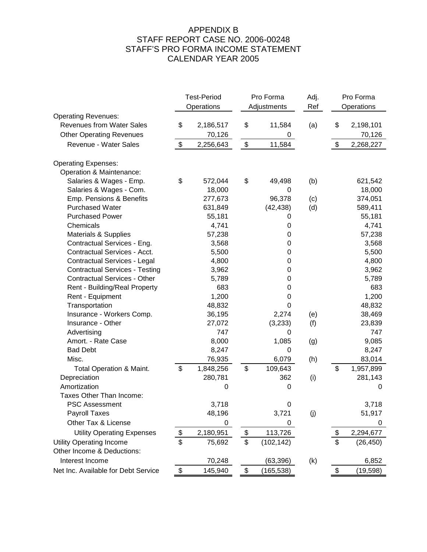## APPENDIX B STAFF REPORT CASE NO. 2006-00248 STAFF'S PRO FORMA INCOME STATEMENT CALENDAR YEAR 2005

|                                       | <b>Test-Period</b> |           | Pro Forma        |     |            | Pro Forma |  |  |
|---------------------------------------|--------------------|-----------|------------------|-----|------------|-----------|--|--|
|                                       | Operations         |           | Adjustments      | Ref | Operations |           |  |  |
| <b>Operating Revenues:</b>            |                    |           |                  |     |            |           |  |  |
| <b>Revenues from Water Sales</b>      | \$                 | 2,186,517 | \$<br>11,584     | (a) | \$         | 2,198,101 |  |  |
| <b>Other Operating Revenues</b>       |                    | 70,126    | 0                |     |            | 70,126    |  |  |
| Revenue - Water Sales                 | \$                 | 2,256,643 | \$<br>11,584     |     | \$         | 2,268,227 |  |  |
| <b>Operating Expenses:</b>            |                    |           |                  |     |            |           |  |  |
| Operation & Maintenance:              |                    |           |                  |     |            |           |  |  |
| Salaries & Wages - Emp.               | \$                 | 572,044   | \$<br>49,498     | (b) |            | 621,542   |  |  |
| Salaries & Wages - Com.               |                    | 18,000    | 0                |     |            | 18,000    |  |  |
| Emp. Pensions & Benefits              |                    | 277,673   | 96,378           | (c) |            | 374,051   |  |  |
| <b>Purchased Water</b>                |                    | 631,849   | (42, 438)        | (d) |            | 589,411   |  |  |
| <b>Purchased Power</b>                |                    | 55,181    | 0                |     |            | 55,181    |  |  |
| Chemicals                             |                    | 4,741     | 0                |     |            | 4,741     |  |  |
| Materials & Supplies                  |                    | 57,238    | 0                |     |            | 57,238    |  |  |
| Contractual Services - Eng.           |                    | 3,568     | 0                |     |            | 3,568     |  |  |
| Contractual Services - Acct.          |                    | 5,500     | 0                |     |            | 5,500     |  |  |
| Contractual Services - Legal          |                    | 4,800     | 0                |     |            | 4,800     |  |  |
| <b>Contractual Services - Testing</b> |                    | 3,962     | 0                |     |            | 3,962     |  |  |
| <b>Contractual Services - Other</b>   |                    | 5,789     | 0                |     |            | 5,789     |  |  |
| Rent - Building/Real Property         |                    | 683       | 0                |     |            | 683       |  |  |
| Rent - Equipment                      |                    | 1,200     | 0                |     |            | 1,200     |  |  |
| Transportation                        |                    | 48,832    | 0                |     |            | 48,832    |  |  |
| Insurance - Workers Comp.             |                    | 36,195    | 2,274            | (e) |            | 38,469    |  |  |
| Insurance - Other                     |                    | 27,072    | (3,233)          | (f) |            | 23,839    |  |  |
| Advertising                           |                    | 747       | 0                |     |            | 747       |  |  |
| Amort. - Rate Case                    |                    | 8,000     | 1,085            | (g) |            | 9,085     |  |  |
| <b>Bad Debt</b>                       |                    | 8,247     | 0                |     |            | 8,247     |  |  |
| Misc.                                 |                    | 76,935    | 6,079            | (h) |            | 83,014    |  |  |
| <b>Total Operation &amp; Maint.</b>   | \$                 | 1,848,256 | \$<br>109,643    |     | \$         | 1,957,899 |  |  |
| Depreciation                          |                    | 280,781   | 362              | (i) |            | 281,143   |  |  |
| Amortization                          |                    | 0         | 0                |     |            | 0         |  |  |
| Taxes Other Than Income:              |                    |           |                  |     |            |           |  |  |
| PSC Assessment                        |                    | 3,718     | $\mathbf 0$      |     |            | 3,718     |  |  |
| <b>Payroll Taxes</b>                  |                    | 48,196    | 3,721            | (j) |            | 51,917    |  |  |
| Other Tax & License                   |                    | 0         | 0                |     |            | 0         |  |  |
| <b>Utility Operating Expenses</b>     | \$                 | 2,180,951 | \$<br>113,726    |     | \$         | 2,294,677 |  |  |
| <b>Utility Operating Income</b>       | \$                 | 75,692    | \$<br>(102, 142) |     | \$         | (26, 450) |  |  |
| Other Income & Deductions:            |                    |           |                  |     |            |           |  |  |
| Interest Income                       |                    | 70,248    | (63, 396)        | (k) |            | 6,852     |  |  |
| Net Inc. Available for Debt Service   | \$                 | 145,940   | \$<br>(165, 538) |     | \$         | (19, 598) |  |  |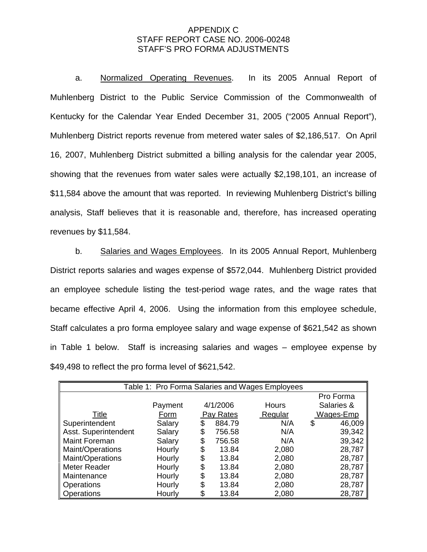## APPENDIX C STAFF REPORT CASE NO. 2006-00248 STAFF'S PRO FORMA ADJUSTMENTS

a. Normalized Operating Revenues. In its 2005 Annual Report of Muhlenberg District to the Public Service Commission of the Commonwealth of Kentucky for the Calendar Year Ended December 31, 2005 ("2005 Annual Report"), Muhlenberg District reports revenue from metered water sales of \$2,186,517. On April 16, 2007, Muhlenberg District submitted a billing analysis for the calendar year 2005, showing that the revenues from water sales were actually \$2,198,101, an increase of \$11,584 above the amount that was reported. In reviewing Muhlenberg District's billing analysis, Staff believes that it is reasonable and, therefore, has increased operating revenues by \$11,584.

b. Salaries and Wages Employees. In its 2005 Annual Report, Muhlenberg District reports salaries and wages expense of \$572,044. Muhlenberg District provided an employee schedule listing the test-period wage rates, and the wage rates that became effective April 4, 2006. Using the information from this employee schedule, Staff calculates a pro forma employee salary and wage expense of \$621,542 as shown in Table 1 below. Staff is increasing salaries and wages – employee expense by \$49,498 to reflect the pro forma level of \$621,542.

| Table 1: Pro Forma Salaries and Wages Employees |         |    |                      |       |            |           |  |  |
|-------------------------------------------------|---------|----|----------------------|-------|------------|-----------|--|--|
|                                                 |         |    |                      |       |            |           |  |  |
|                                                 | Payment |    | 4/1/2006             | Hours | Salaries & |           |  |  |
| <b>Title</b>                                    | Form    |    | Pay Rates<br>Regular |       |            | Wages-Emp |  |  |
| Superintendent                                  | Salary  | \$ | 884.79               | N/A   | \$         | 46,009    |  |  |
| Asst. Superintendent                            | Salary  | \$ | 756.58               | N/A   |            | 39,342    |  |  |
| <b>Maint Foreman</b>                            | Salary  | S  | 756.58               | N/A   |            | 39,342    |  |  |
| Maint/Operations                                | Hourly  | \$ | 13.84                | 2,080 |            | 28,787    |  |  |
| Maint/Operations                                | Hourly  | \$ | 13.84                | 2,080 |            | 28,787    |  |  |
| Meter Reader                                    | Hourly  | \$ | 13.84                | 2,080 |            | 28,787    |  |  |
| Maintenance                                     | Hourly  | \$ | 13.84                | 2,080 |            | 28,787    |  |  |
| Operations                                      | Hourly  | \$ | 13.84                | 2,080 |            | 28,787    |  |  |
| Operations                                      | Hourly  | \$ | 13.84                | 2,080 |            | 28,787    |  |  |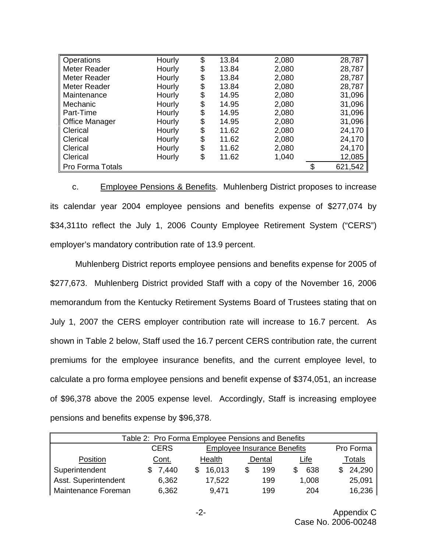| <b>Operations</b>       | Hourly | \$<br>13.84 | 2,080 | 28,787  |
|-------------------------|--------|-------------|-------|---------|
| Meter Reader            | Hourly | \$<br>13.84 | 2,080 | 28,787  |
| Meter Reader            | Hourly | \$<br>13.84 | 2,080 | 28,787  |
| Meter Reader            | Hourly | \$<br>13.84 | 2,080 | 28,787  |
| Maintenance             | Hourly | \$<br>14.95 | 2,080 | 31,096  |
| Mechanic                | Hourly | \$<br>14.95 | 2,080 | 31,096  |
| Part-Time               | Hourly | \$<br>14.95 | 2,080 | 31,096  |
| <b>Office Manager</b>   | Hourly | \$<br>14.95 | 2,080 | 31,096  |
| Clerical                | Hourly | \$<br>11.62 | 2,080 | 24,170  |
| Clerical                | Hourly | \$<br>11.62 | 2,080 | 24,170  |
| Clerical                | Hourly | \$<br>11.62 | 2,080 | 24,170  |
| Clerical                | Hourly | \$<br>11.62 | 1,040 | 12,085  |
| <b>Pro Forma Totals</b> |        |             |       | 621,542 |

c. Employee Pensions & Benefits. Muhlenberg District proposes to increase its calendar year 2004 employee pensions and benefits expense of \$277,074 by \$34,311to reflect the July 1, 2006 County Employee Retirement System ("CERS") employer's mandatory contribution rate of 13.9 percent.

Muhlenberg District reports employee pensions and benefits expense for 2005 of \$277,673. Muhlenberg District provided Staff with a copy of the November 16, 2006 memorandum from the Kentucky Retirement Systems Board of Trustees stating that on July 1, 2007 the CERS employer contribution rate will increase to 16.7 percent. As shown in Table 2 below, Staff used the 16.7 percent CERS contribution rate, the current premiums for the employee insurance benefits, and the current employee level, to calculate a pro forma employee pensions and benefit expense of \$374,051, an increase of \$96,378 above the 2005 expense level. Accordingly, Staff is increasing employee pensions and benefits expense by \$96,378.

| Table 2: Pro Forma Employee Pensions and Benefits |  |                                                   |        |        |  |        |  |             |  |               |
|---------------------------------------------------|--|---------------------------------------------------|--------|--------|--|--------|--|-------------|--|---------------|
|                                                   |  | <b>CERS</b><br><b>Employee Insurance Benefits</b> |        |        |  |        |  |             |  | Pro Forma     |
| Position                                          |  | Cont.                                             | Health |        |  | Dental |  | <u>Life</u> |  | <b>Totals</b> |
| Superintendent                                    |  | \$7,440                                           |        | 16,013 |  | 199    |  | 638         |  | 24,290        |
| Asst. Superintendent                              |  | 6,362                                             |        | 17,522 |  | 199    |  | 1,008       |  | 25,091        |
| Maintenance Foreman                               |  | 6,362                                             |        | 9,471  |  | 199    |  | 204         |  | 16,236        |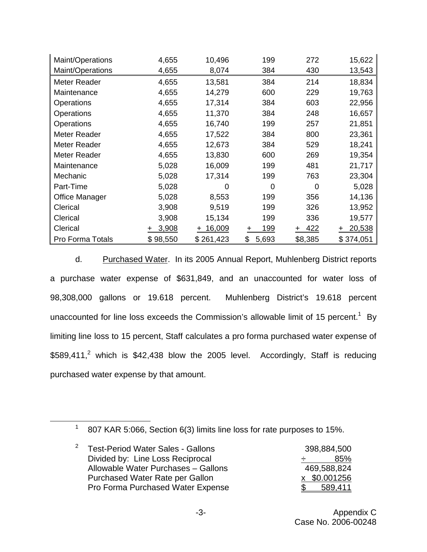| Maint/Operations        | 4,655            | 10,496        | 199         | 272          | 15,622      |
|-------------------------|------------------|---------------|-------------|--------------|-------------|
| Maint/Operations        | 4,655            | 8,074         | 384         | 430          | 13,543      |
| Meter Reader            | 4,655            | 13,581        | 384         | 214          | 18,834      |
| Maintenance             | 4,655            | 14,279        | 600         | 229          | 19,763      |
| Operations              | 4,655            | 17,314        | 384         | 603          | 22,956      |
| <b>Operations</b>       | 4,655            | 11,370        | 384         | 248          | 16,657      |
| Operations              | 4,655            | 16,740        | 199         | 257          | 21,851      |
| Meter Reader            | 4,655            | 17,522        | 384         | 800          | 23,361      |
| Meter Reader            | 4,655            | 12,673        | 384         | 529          | 18,241      |
| Meter Reader            | 4,655            | 13,830        | 600         | 269          | 19,354      |
| Maintenance             | 5,028            | 16,009        | 199         | 481          | 21,717      |
| Mechanic                | 5,028            | 17,314        | 199         | 763          | 23,304      |
| Part-Time               | 5,028            | 0             | 0           | 0            | 5,028       |
| Office Manager          | 5,028            | 8,553         | 199         | 356          | 14,136      |
| Clerical                | 3,908            | 9,519         | 199         | 326          | 13,952      |
| Clerical                | 3,908            | 15,134        | 199         | 336          | 19,577      |
| Clerical                | 3,908<br>$+$ $-$ | 16,009<br>$+$ | 199<br>+    | 422<br>$\pm$ | 20,538<br>٠ |
| <b>Pro Forma Totals</b> | \$98,550         | \$261,423     | \$<br>5,693 | \$8,385      | \$374,051   |

d. Purchased Water. In its 2005 Annual Report, Muhlenberg District reports a purchase water expense of \$631,849, and an unaccounted for water loss of 98,308,000 gallons or 19.618 percent. Muhlenberg District's 19.618 percent unaccounted for line loss exceeds the Commission's allowable limit of 15 percent.<sup>1</sup> By limiting line loss to 15 percent, Staff calculates a pro forma purchased water expense of  $$589,411<sup>2</sup>$  which is \$42,438 blow the 2005 level. Accordingly, Staff is reducing purchased water expense by that amount.

<sup>&</sup>lt;sup>1</sup> 807 KAR 5:066, Section 6(3) limits line loss for rate purposes to 15%.

| 2<br><b>Test-Period Water Sales - Gallons</b> | 398,884,500  |
|-----------------------------------------------|--------------|
| Divided by: Line Loss Reciprocal              | 85%<br>÷.    |
| Allowable Water Purchases - Gallons           | 469,588,824  |
| Purchased Water Rate per Gallon               | x \$0.001256 |
| Pro Forma Purchased Water Expense             | 589,411      |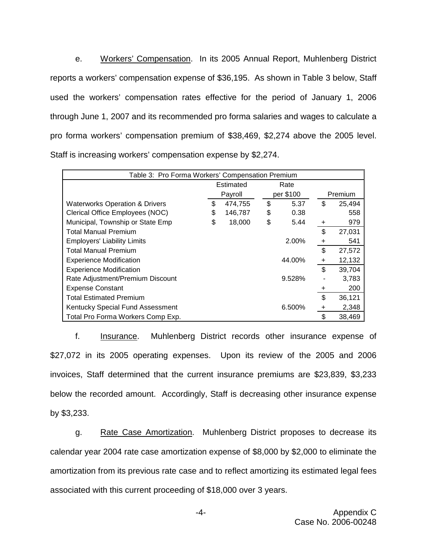e. Workers' Compensation. In its 2005 Annual Report, Muhlenberg District reports a workers' compensation expense of \$36,195. As shown in Table 3 below, Staff used the workers' compensation rates effective for the period of January 1, 2006 through June 1, 2007 and its recommended pro forma salaries and wages to calculate a pro forma workers' compensation premium of \$38,469, \$2,274 above the 2005 level. Staff is increasing workers' compensation expense by \$2,274.

| Table 3: Pro Forma Workers' Compensation Premium |    |           |    |           |    |         |  |
|--------------------------------------------------|----|-----------|----|-----------|----|---------|--|
|                                                  |    | Estimated |    | Rate      |    |         |  |
|                                                  |    | Payroll   |    | per \$100 |    | Premium |  |
| <b>Waterworks Operation &amp; Drivers</b>        | \$ | 474,755   | \$ | 5.37      | \$ | 25,494  |  |
| Clerical Office Employees (NOC)                  | \$ | 146,787   | \$ | 0.38      |    | 558     |  |
| Municipal, Township or State Emp                 | \$ | 18,000    | \$ | 5.44      | +  | 979     |  |
| <b>Total Manual Premium</b>                      |    |           |    |           | \$ | 27,031  |  |
| <b>Employers' Liability Limits</b>               |    |           |    | 2.00%     | +  | 541     |  |
| <b>Total Manual Premium</b>                      |    |           |    |           | \$ | 27,572  |  |
| <b>Experience Modification</b>                   |    |           |    | 44.00%    | +  | 12,132  |  |
| <b>Experience Modification</b>                   |    |           |    |           | \$ | 39,704  |  |
| Rate Adjustment/Premium Discount                 |    |           |    | 9.528%    |    | 3,783   |  |
| <b>Expense Constant</b>                          |    |           |    |           | +  | 200     |  |
| <b>Total Estimated Premium</b>                   |    |           |    |           | \$ | 36,121  |  |
| Kentucky Special Fund Assessment                 |    |           |    | 6.500%    | +  | 2,348   |  |
| Total Pro Forma Workers Comp Exp.                |    |           |    |           | \$ | 38,469  |  |

f. **Insurance.** Muhlenberg District records other insurance expense of \$27,072 in its 2005 operating expenses. Upon its review of the 2005 and 2006 invoices, Staff determined that the current insurance premiums are \$23,839, \$3,233 below the recorded amount. Accordingly, Staff is decreasing other insurance expense by \$3,233.

g. Rate Case Amortization. Muhlenberg District proposes to decrease its calendar year 2004 rate case amortization expense of \$8,000 by \$2,000 to eliminate the amortization from its previous rate case and to reflect amortizing its estimated legal fees associated with this current proceeding of \$18,000 over 3 years.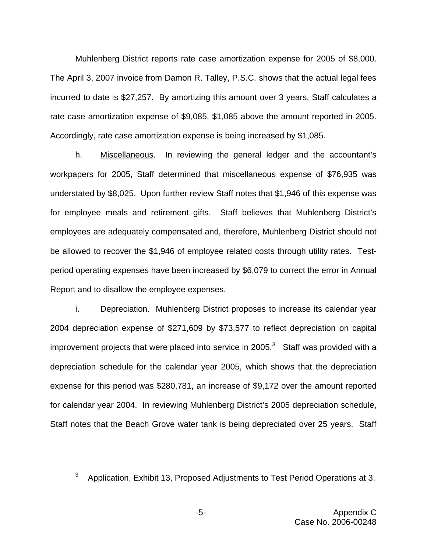Muhlenberg District reports rate case amortization expense for 2005 of \$8,000. The April 3, 2007 invoice from Damon R. Talley, P.S.C. shows that the actual legal fees incurred to date is \$27,257. By amortizing this amount over 3 years, Staff calculates a rate case amortization expense of \$9,085, \$1,085 above the amount reported in 2005. Accordingly, rate case amortization expense is being increased by \$1,085.

h. Miscellaneous. In reviewing the general ledger and the accountant's workpapers for 2005, Staff determined that miscellaneous expense of \$76,935 was understated by \$8,025. Upon further review Staff notes that \$1,946 of this expense was for employee meals and retirement gifts. Staff believes that Muhlenberg District's employees are adequately compensated and, therefore, Muhlenberg District should not be allowed to recover the \$1,946 of employee related costs through utility rates. Testperiod operating expenses have been increased by \$6,079 to correct the error in Annual Report and to disallow the employee expenses.

i. Depreciation. Muhlenberg District proposes to increase its calendar year 2004 depreciation expense of \$271,609 by \$73,577 to reflect depreciation on capital improvement projects that were placed into service in 2005. $3$  Staff was provided with a depreciation schedule for the calendar year 2005, which shows that the depreciation expense for this period was \$280,781, an increase of \$9,172 over the amount reported for calendar year 2004. In reviewing Muhlenberg District's 2005 depreciation schedule, Staff notes that the Beach Grove water tank is being depreciated over 25 years. Staff

 $3$  Application, Exhibit 13, Proposed Adjustments to Test Period Operations at 3.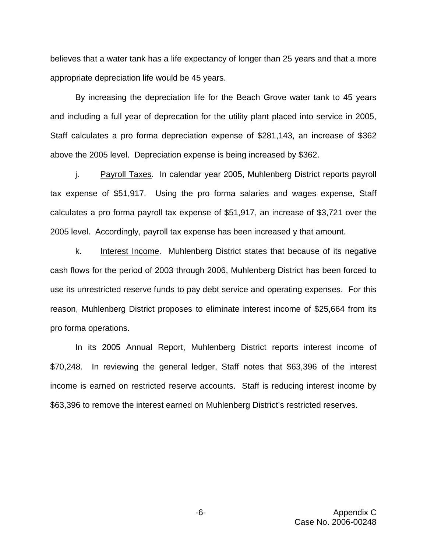believes that a water tank has a life expectancy of longer than 25 years and that a more appropriate depreciation life would be 45 years.

By increasing the depreciation life for the Beach Grove water tank to 45 years and including a full year of deprecation for the utility plant placed into service in 2005, Staff calculates a pro forma depreciation expense of \$281,143, an increase of \$362 above the 2005 level. Depreciation expense is being increased by \$362.

j. Payroll Taxes. In calendar year 2005, Muhlenberg District reports payroll tax expense of \$51,917. Using the pro forma salaries and wages expense, Staff calculates a pro forma payroll tax expense of \$51,917, an increase of \$3,721 over the 2005 level. Accordingly, payroll tax expense has been increased y that amount.

k. Interest Income. Muhlenberg District states that because of its negative cash flows for the period of 2003 through 2006, Muhlenberg District has been forced to use its unrestricted reserve funds to pay debt service and operating expenses. For this reason, Muhlenberg District proposes to eliminate interest income of \$25,664 from its pro forma operations.

In its 2005 Annual Report, Muhlenberg District reports interest income of \$70,248. In reviewing the general ledger, Staff notes that \$63,396 of the interest income is earned on restricted reserve accounts. Staff is reducing interest income by \$63,396 to remove the interest earned on Muhlenberg District's restricted reserves.

> -6- Appendix C Case No. 2006-00248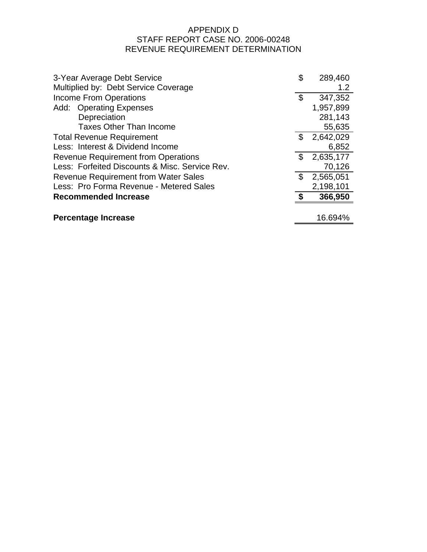# APPENDIX D STAFF REPORT CASE NO. 2006-00248 REVENUE REQUIREMENT DETERMINATION

| 3-Year Average Debt Service                    | \$<br>289,460   |
|------------------------------------------------|-----------------|
| Multiplied by: Debt Service Coverage           | 1.2             |
| <b>Income From Operations</b>                  | \$<br>347,352   |
| Add: Operating Expenses                        | 1,957,899       |
| Depreciation                                   | 281,143         |
| <b>Taxes Other Than Income</b>                 | 55,635          |
| <b>Total Revenue Requirement</b>               | \$<br>2,642,029 |
| Less: Interest & Dividend Income               | 6,852           |
| <b>Revenue Requirement from Operations</b>     | \$<br>2,635,177 |
| Less: Forfeited Discounts & Misc. Service Rev. | 70,126          |
| <b>Revenue Requirement from Water Sales</b>    | \$<br>2,565,051 |
| Less: Pro Forma Revenue - Metered Sales        | 2,198,101       |
| <b>Recommended Increase</b>                    | 366,950         |
|                                                |                 |
| <b>Percentage Increase</b>                     | 16.694%         |